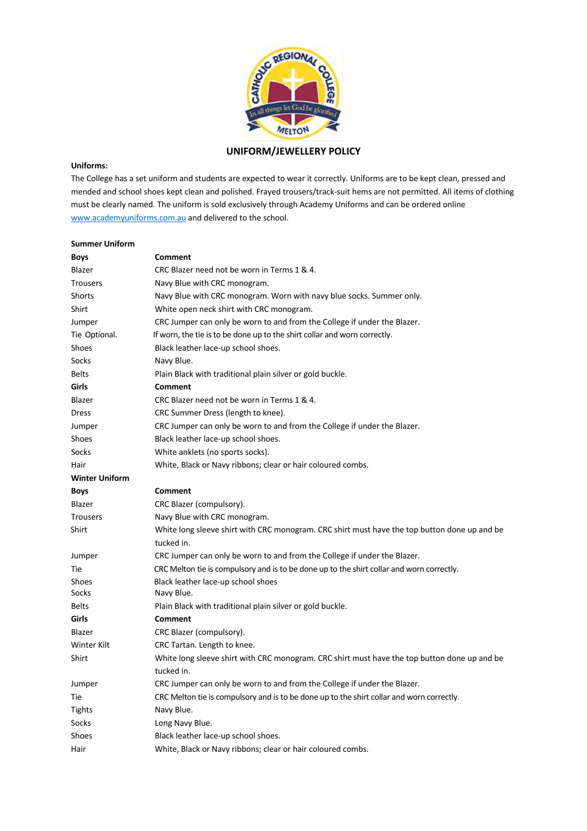

# **UNIFORM/JEWELLERY POLICY**

# **Uniforms:**

The College has a set uniform and students are expected to wear it correctly. Uniforms are to be kept clean, pressed and mended and school shoes kept clean and polished. Frayed trousers/track-suit hems are not permitted. All items of clothing must be clearly named. The uniform is sold exclusively through Academy Uniforms and can be ordered online www.academyuniforms.com.au and delivered to the school.

| <b>Summer Uniform</b> |                                                                                              |
|-----------------------|----------------------------------------------------------------------------------------------|
| <b>Boys</b>           | Comment                                                                                      |
| Blazer                | CRC Blazer need not be worn in Terms 1 & 4.                                                  |
| <b>Trousers</b>       | Navy Blue with CRC monogram.                                                                 |
| Shorts                | Navy Blue with CRC monogram. Worn with navy blue socks. Summer only.                         |
| Shirt                 | White open neck shirt with CRC monogram.                                                     |
| Jumper                | CRC Jumper can only be worn to and from the College if under the Blazer.                     |
| Tie Optional.         | If worn, the tie is to be done up to the shirt collar and worn correctly.                    |
| <b>Shoes</b>          | Black leather lace-up school shoes.                                                          |
| Socks                 | Navy Blue.                                                                                   |
| <b>Belts</b>          | Plain Black with traditional plain silver or gold buckle.                                    |
| Girls                 | <b>Comment</b>                                                                               |
| Blazer                | CRC Blazer need not be worn in Terms 1 & 4.                                                  |
| Dress                 | CRC Summer Dress (length to knee).                                                           |
| Jumper                | CRC Jumper can only be worn to and from the College if under the Blazer.                     |
| Shoes                 | Black leather lace-up school shoes.                                                          |
| Socks                 | White anklets (no sports socks).                                                             |
| Hair                  | White, Black or Navy ribbons; clear or hair coloured combs.                                  |
| <b>Winter Uniform</b> |                                                                                              |
| <b>Boys</b>           | Comment                                                                                      |
| Blazer                | CRC Blazer (compulsory).                                                                     |
| <b>Trousers</b>       | Navy Blue with CRC monogram.                                                                 |
| Shirt                 | White long sleeve shirt with CRC monogram. CRC shirt must have the top button done up and be |
|                       | tucked in.                                                                                   |
| Jumper                | CRC Jumper can only be worn to and from the College if under the Blazer.                     |
| Tie                   | CRC Melton tie is compulsory and is to be done up to the shirt collar and worn correctly.    |
| Shoes                 | Black leather lace-up school shoes                                                           |
| Socks                 | Navy Blue.                                                                                   |
| <b>Belts</b>          | Plain Black with traditional plain silver or gold buckle.                                    |
| Girls                 | Comment                                                                                      |
| Blazer                | CRC Blazer (compulsory).                                                                     |
| Winter Kilt           | CRC Tartan. Length to knee.                                                                  |
| Shirt                 | White long sleeve shirt with CRC monogram. CRC shirt must have the top button done up and be |
|                       | tucked in.                                                                                   |
| Jumper                | CRC Jumper can only be worn to and from the College if under the Blazer.                     |
| Tie                   | CRC Melton tie is compulsory and is to be done up to the shirt collar and worn correctly.    |
| Tights                | Navy Blue.                                                                                   |
| Socks                 | Long Navy Blue.                                                                              |
| Shoes                 | Black leather lace-up school shoes.                                                          |
| Hair                  | White, Black or Navy ribbons; clear or hair coloured combs.                                  |